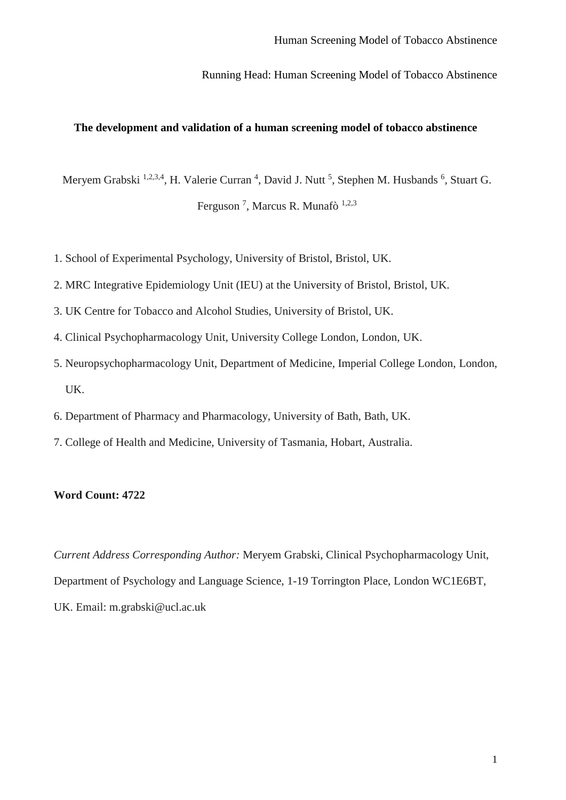Running Head: Human Screening Model of Tobacco Abstinence

#### **The development and validation of a human screening model of tobacco abstinence**

Meryem Grabski <sup>1,2,3,4</sup>, H. Valerie Curran<sup>4</sup>, David J. Nutt<sup>5</sup>, Stephen M. Husbands<sup>6</sup>, Stuart G.

Ferguson<sup>7</sup>, Marcus R. Munafò<sup>1,2,3</sup>

- 1. School of Experimental Psychology, University of Bristol, Bristol, UK.
- 2. MRC Integrative Epidemiology Unit (IEU) at the University of Bristol, Bristol, UK.
- 3. UK Centre for Tobacco and Alcohol Studies, University of Bristol, UK.
- 4. Clinical Psychopharmacology Unit, University College London, London, UK.
- 5. Neuropsychopharmacology Unit, Department of Medicine, Imperial College London, London, UK.
- 6. Department of Pharmacy and Pharmacology, University of Bath, Bath, UK.
- 7. College of Health and Medicine, University of Tasmania, Hobart, Australia.

## **Word Count: 4722**

*Current Address Corresponding Author:* Meryem Grabski, Clinical Psychopharmacology Unit, Department of Psychology and Language Science, 1-19 Torrington Place, London WC1E6BT, UK. Email: m.grabski@ucl.ac.uk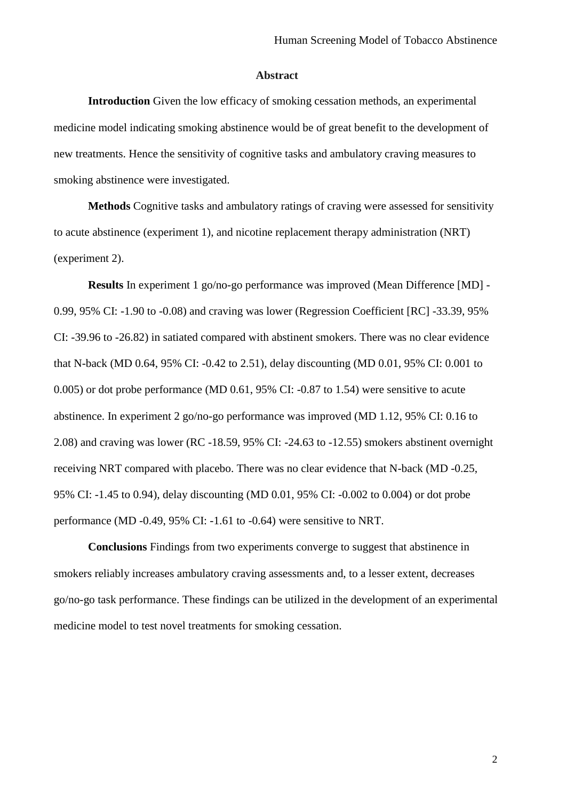#### **Abstract**

**Introduction** Given the low efficacy of smoking cessation methods, an experimental medicine model indicating smoking abstinence would be of great benefit to the development of new treatments. Hence the sensitivity of cognitive tasks and ambulatory craving measures to smoking abstinence were investigated.

**Methods** Cognitive tasks and ambulatory ratings of craving were assessed for sensitivity to acute abstinence (experiment 1), and nicotine replacement therapy administration (NRT) (experiment 2).

**Results** In experiment 1 go/no-go performance was improved (Mean Difference [MD] - 0.99, 95% CI: -1.90 to -0.08) and craving was lower (Regression Coefficient [RC] -33.39, 95% CI: -39.96 to -26.82) in satiated compared with abstinent smokers. There was no clear evidence that N-back (MD 0.64, 95% CI: -0.42 to 2.51), delay discounting (MD 0.01, 95% CI: 0.001 to 0.005) or dot probe performance (MD 0.61, 95% CI: -0.87 to 1.54) were sensitive to acute abstinence. In experiment 2 go/no-go performance was improved (MD 1.12, 95% CI: 0.16 to 2.08) and craving was lower (RC -18.59, 95% CI: -24.63 to -12.55) smokers abstinent overnight receiving NRT compared with placebo. There was no clear evidence that N-back (MD -0.25, 95% CI: -1.45 to 0.94), delay discounting (MD 0.01, 95% CI: -0.002 to 0.004) or dot probe performance (MD -0.49, 95% CI: -1.61 to -0.64) were sensitive to NRT.

**Conclusions** Findings from two experiments converge to suggest that abstinence in smokers reliably increases ambulatory craving assessments and, to a lesser extent, decreases go/no-go task performance. These findings can be utilized in the development of an experimental medicine model to test novel treatments for smoking cessation.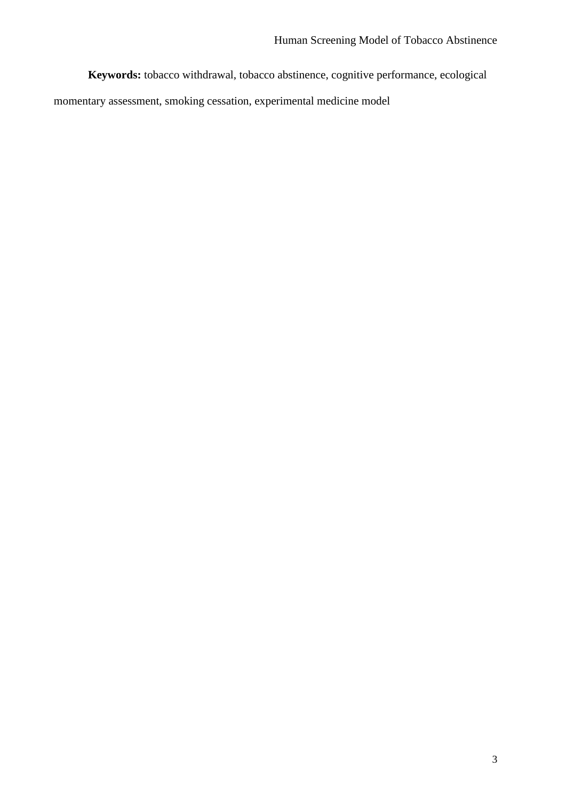**Keywords:** tobacco withdrawal, tobacco abstinence, cognitive performance, ecological

momentary assessment, smoking cessation, experimental medicine model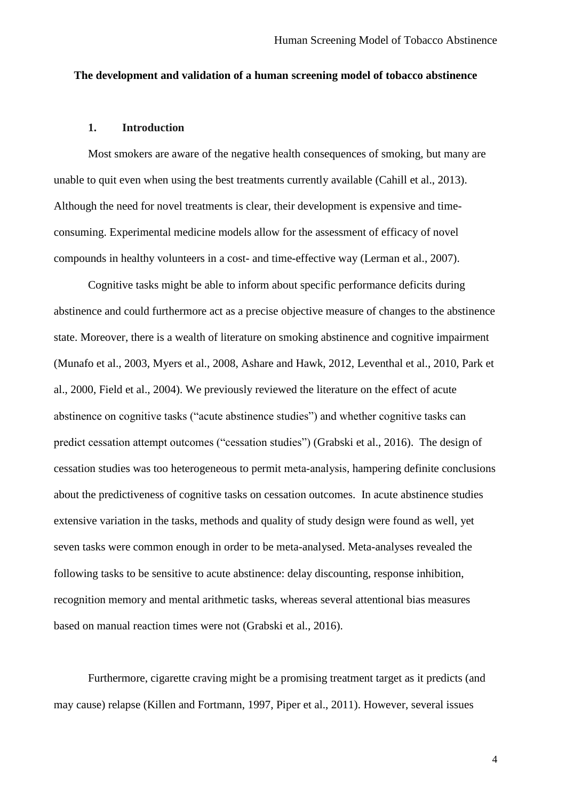#### **The development and validation of a human screening model of tobacco abstinence**

#### **1. Introduction**

Most smokers are aware of the negative health consequences of smoking, but many are unable to quit even when using the best treatments currently available (Cahill et al., 2013). Although the need for novel treatments is clear, their development is expensive and timeconsuming. Experimental medicine models allow for the assessment of efficacy of novel compounds in healthy volunteers in a cost- and time-effective way (Lerman et al., 2007).

Cognitive tasks might be able to inform about specific performance deficits during abstinence and could furthermore act as a precise objective measure of changes to the abstinence state. Moreover, there is a wealth of literature on smoking abstinence and cognitive impairment (Munafo et al., 2003, Myers et al., 2008, Ashare and Hawk, 2012, Leventhal et al., 2010, Park et al., 2000, Field et al., 2004). We previously reviewed the literature on the effect of acute abstinence on cognitive tasks ("acute abstinence studies") and whether cognitive tasks can predict cessation attempt outcomes ("cessation studies") (Grabski et al., 2016). The design of cessation studies was too heterogeneous to permit meta‐analysis, hampering definite conclusions about the predictiveness of cognitive tasks on cessation outcomes. In acute abstinence studies extensive variation in the tasks, methods and quality of study design were found as well, yet seven tasks were common enough in order to be meta-analysed. Meta-analyses revealed the following tasks to be sensitive to acute abstinence: delay discounting, response inhibition, recognition memory and mental arithmetic tasks, whereas several attentional bias measures based on manual reaction times were not (Grabski et al., 2016).

Furthermore, cigarette craving might be a promising treatment target as it predicts (and may cause) relapse (Killen and Fortmann, 1997, Piper et al., 2011). However, several issues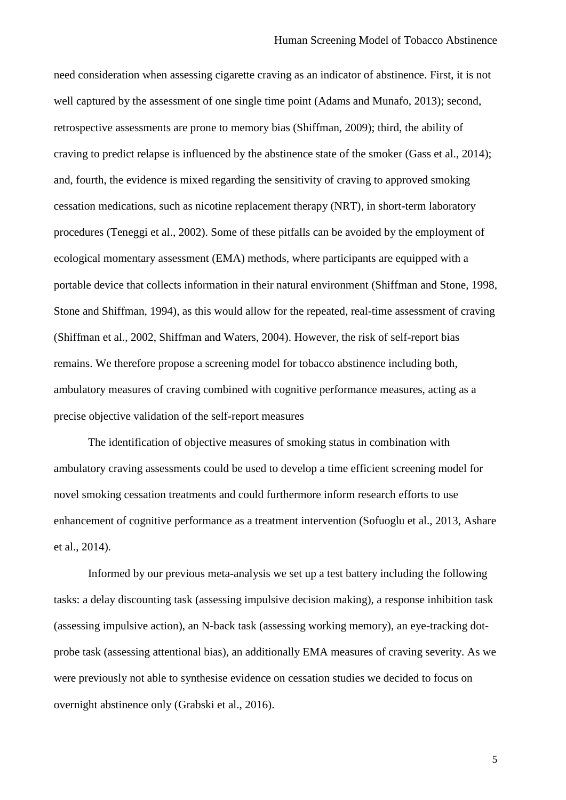need consideration when assessing cigarette craving as an indicator of abstinence. First, it is not well captured by the assessment of one single time point (Adams and Munafo, 2013); second, retrospective assessments are prone to memory bias (Shiffman, 2009); third, the ability of craving to predict relapse is influenced by the abstinence state of the smoker (Gass et al., 2014); and, fourth, the evidence is mixed regarding the sensitivity of craving to approved smoking cessation medications, such as nicotine replacement therapy (NRT), in short-term laboratory procedures (Teneggi et al., 2002). Some of these pitfalls can be avoided by the employment of ecological momentary assessment (EMA) methods, where participants are equipped with a portable device that collects information in their natural environment (Shiffman and Stone, 1998, Stone and Shiffman, 1994), as this would allow for the repeated, real-time assessment of craving (Shiffman et al., 2002, Shiffman and Waters, 2004). However, the risk of self-report bias remains. We therefore propose a screening model for tobacco abstinence including both, ambulatory measures of craving combined with cognitive performance measures, acting as a precise objective validation of the self-report measures

The identification of objective measures of smoking status in combination with ambulatory craving assessments could be used to develop a time efficient screening model for novel smoking cessation treatments and could furthermore inform research efforts to use enhancement of cognitive performance as a treatment intervention (Sofuoglu et al., 2013, Ashare et al., 2014).

Informed by our previous meta-analysis we set up a test battery including the following tasks: a delay discounting task (assessing impulsive decision making), a response inhibition task (assessing impulsive action), an N-back task (assessing working memory), an eye-tracking dotprobe task (assessing attentional bias), an additionally EMA measures of craving severity. As we were previously not able to synthesise evidence on cessation studies we decided to focus on overnight abstinence only (Grabski et al., 2016).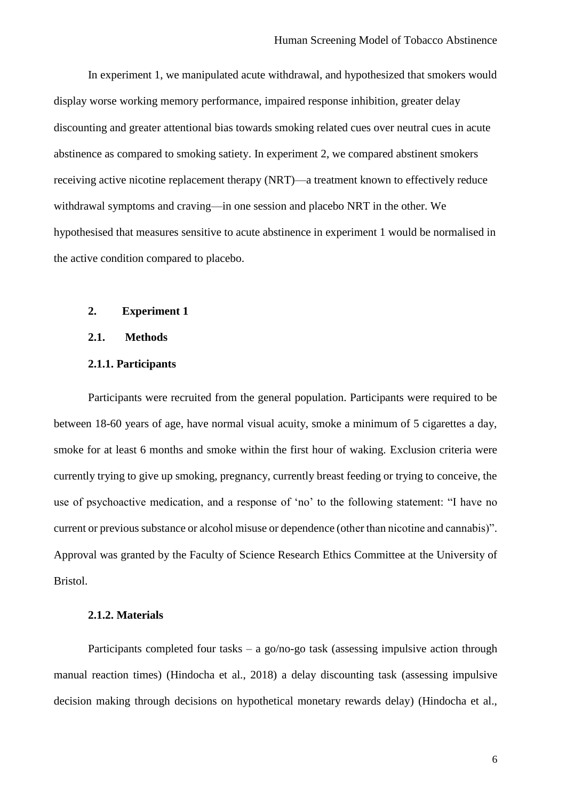In experiment 1, we manipulated acute withdrawal, and hypothesized that smokers would display worse working memory performance, impaired response inhibition, greater delay discounting and greater attentional bias towards smoking related cues over neutral cues in acute abstinence as compared to smoking satiety. In experiment 2, we compared abstinent smokers receiving active nicotine replacement therapy (NRT)—a treatment known to effectively reduce withdrawal symptoms and craving—in one session and placebo NRT in the other. We hypothesised that measures sensitive to acute abstinence in experiment 1 would be normalised in the active condition compared to placebo.

## **2. Experiment 1**

## **2.1. Methods**

## **2.1.1. Participants**

Participants were recruited from the general population. Participants were required to be between 18-60 years of age, have normal visual acuity, smoke a minimum of 5 cigarettes a day, smoke for at least 6 months and smoke within the first hour of waking. Exclusion criteria were currently trying to give up smoking, pregnancy, currently breast feeding or trying to conceive, the use of psychoactive medication, and a response of 'no' to the following statement: "I have no current or previous substance or alcohol misuse or dependence (other than nicotine and cannabis)". Approval was granted by the Faculty of Science Research Ethics Committee at the University of Bristol.

#### **2.1.2. Materials**

Participants completed four tasks – a go/no-go task (assessing impulsive action through manual reaction times) (Hindocha et al., 2018) a delay discounting task (assessing impulsive decision making through decisions on hypothetical monetary rewards delay) (Hindocha et al.,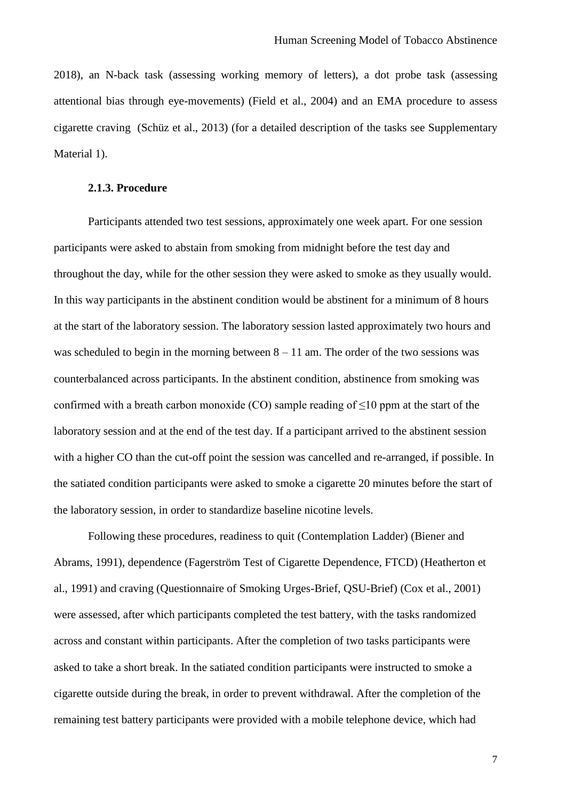2018), an N-back task (assessing working memory of letters), a dot probe task (assessing attentional bias through eye-movements) (Field et al., 2004) and an EMA procedure to assess cigarette craving (Schüz et al., 2013) (for a detailed description of the tasks see Supplementary Material 1).

## **2.1.3. Procedure**

Participants attended two test sessions, approximately one week apart. For one session participants were asked to abstain from smoking from midnight before the test day and throughout the day, while for the other session they were asked to smoke as they usually would. In this way participants in the abstinent condition would be abstinent for a minimum of 8 hours at the start of the laboratory session. The laboratory session lasted approximately two hours and was scheduled to begin in the morning between  $8 - 11$  am. The order of the two sessions was counterbalanced across participants. In the abstinent condition, abstinence from smoking was confirmed with a breath carbon monoxide (CO) sample reading of  $\leq 10$  ppm at the start of the laboratory session and at the end of the test day. If a participant arrived to the abstinent session with a higher CO than the cut-off point the session was cancelled and re-arranged, if possible. In the satiated condition participants were asked to smoke a cigarette 20 minutes before the start of the laboratory session, in order to standardize baseline nicotine levels.

Following these procedures, readiness to quit (Contemplation Ladder) (Biener and Abrams, 1991), dependence (Fagerström Test of Cigarette Dependence, FTCD) (Heatherton et al., 1991) and craving (Questionnaire of Smoking Urges-Brief, QSU-Brief) (Cox et al., 2001) were assessed, after which participants completed the test battery, with the tasks randomized across and constant within participants. After the completion of two tasks participants were asked to take a short break. In the satiated condition participants were instructed to smoke a cigarette outside during the break, in order to prevent withdrawal. After the completion of the remaining test battery participants were provided with a mobile telephone device, which had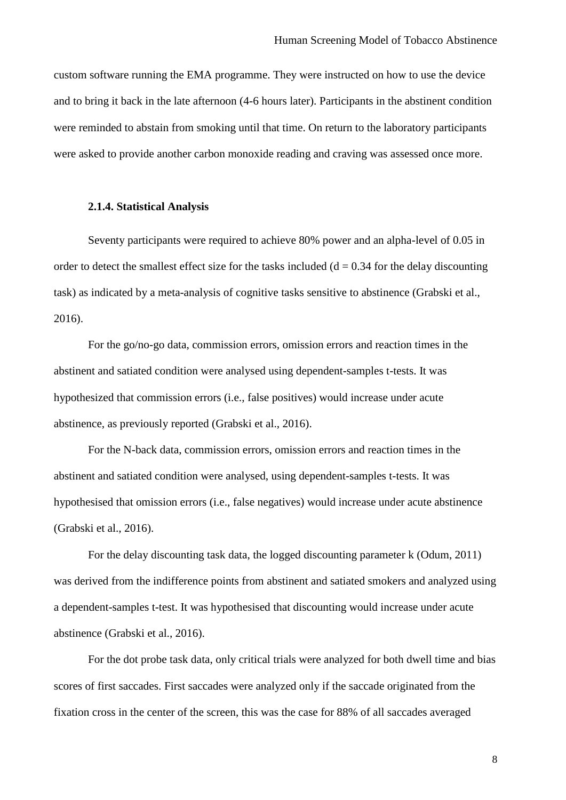custom software running the EMA programme. They were instructed on how to use the device and to bring it back in the late afternoon (4-6 hours later). Participants in the abstinent condition were reminded to abstain from smoking until that time. On return to the laboratory participants were asked to provide another carbon monoxide reading and craving was assessed once more.

## **2.1.4. Statistical Analysis**

Seventy participants were required to achieve 80% power and an alpha-level of 0.05 in order to detect the smallest effect size for the tasks included  $(d = 0.34$  for the delay discounting task) as indicated by a meta-analysis of cognitive tasks sensitive to abstinence (Grabski et al., 2016).

For the go/no-go data, commission errors, omission errors and reaction times in the abstinent and satiated condition were analysed using dependent-samples t-tests. It was hypothesized that commission errors (i.e., false positives) would increase under acute abstinence, as previously reported (Grabski et al., 2016).

For the N-back data, commission errors, omission errors and reaction times in the abstinent and satiated condition were analysed, using dependent-samples t-tests. It was hypothesised that omission errors (i.e., false negatives) would increase under acute abstinence (Grabski et al., 2016).

For the delay discounting task data, the logged discounting parameter k (Odum, 2011) was derived from the indifference points from abstinent and satiated smokers and analyzed using a dependent-samples t-test. It was hypothesised that discounting would increase under acute abstinence (Grabski et al., 2016).

For the dot probe task data, only critical trials were analyzed for both dwell time and bias scores of first saccades. First saccades were analyzed only if the saccade originated from the fixation cross in the center of the screen, this was the case for 88% of all saccades averaged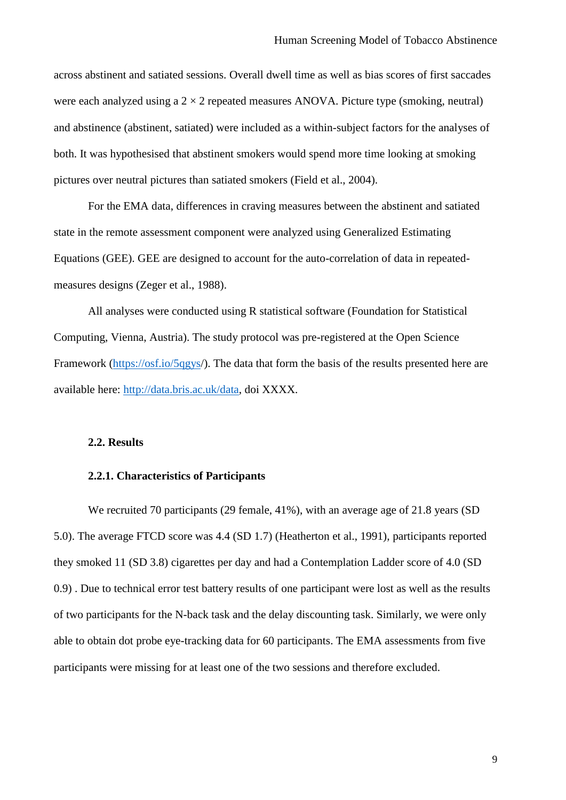across abstinent and satiated sessions. Overall dwell time as well as bias scores of first saccades were each analyzed using a  $2 \times 2$  repeated measures ANOVA. Picture type (smoking, neutral) and abstinence (abstinent, satiated) were included as a within-subject factors for the analyses of both. It was hypothesised that abstinent smokers would spend more time looking at smoking pictures over neutral pictures than satiated smokers (Field et al., 2004).

For the EMA data, differences in craving measures between the abstinent and satiated state in the remote assessment component were analyzed using Generalized Estimating Equations (GEE). GEE are designed to account for the auto-correlation of data in repeatedmeasures designs (Zeger et al., 1988).

All analyses were conducted using R statistical software (Foundation for Statistical Computing, Vienna, Austria). The study protocol was pre-registered at the Open Science Framework [\(https://osf.io/5qgys/](https://osf.io/5qgys)). The data that form the basis of the results presented here are available here: http://data.bris.ac.uk/data, doi XXXX.

#### **2.2. Results**

## **2.2.1. Characteristics of Participants**

We recruited 70 participants (29 female, 41%), with an average age of 21.8 years (SD 5.0). The average FTCD score was 4.4 (SD 1.7) (Heatherton et al., 1991), participants reported they smoked 11 (SD 3.8) cigarettes per day and had a Contemplation Ladder score of 4.0 (SD 0.9) . Due to technical error test battery results of one participant were lost as well as the results of two participants for the N-back task and the delay discounting task. Similarly, we were only able to obtain dot probe eye-tracking data for 60 participants. The EMA assessments from five participants were missing for at least one of the two sessions and therefore excluded.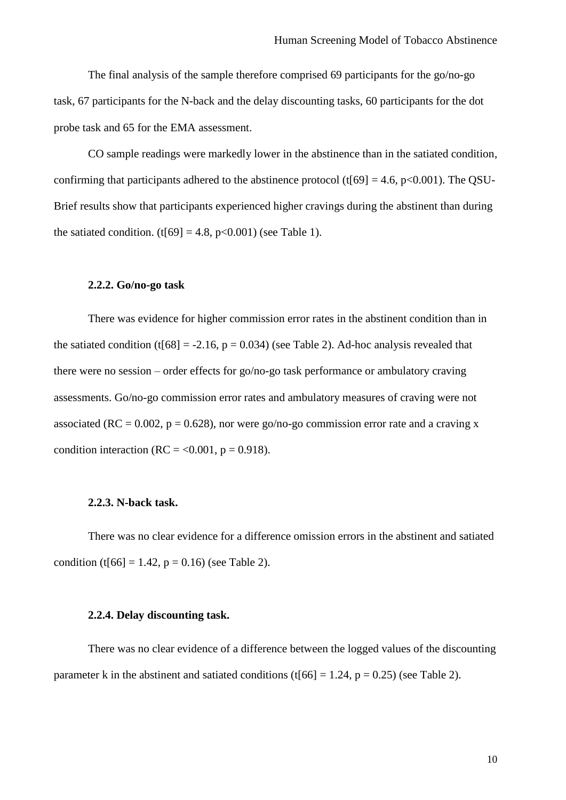The final analysis of the sample therefore comprised 69 participants for the go/no-go task, 67 participants for the N-back and the delay discounting tasks, 60 participants for the dot probe task and 65 for the EMA assessment.

CO sample readings were markedly lower in the abstinence than in the satiated condition, confirming that participants adhered to the abstinence protocol (t[69] = 4.6, p<0.001). The QSU-Brief results show that participants experienced higher cravings during the abstinent than during the satiated condition.  $(t[69] = 4.8, p<0.001)$  (see Table 1).

## **2.2.2. Go/no-go task**

There was evidence for higher commission error rates in the abstinent condition than in the satiated condition (t[68] = -2.16,  $p = 0.034$ ) (see Table 2). Ad-hoc analysis revealed that there were no session – order effects for go/no-go task performance or ambulatory craving assessments. Go/no-go commission error rates and ambulatory measures of craving were not associated (RC = 0.002,  $p = 0.628$ ), nor were go/no-go commission error rate and a craving x condition interaction (RC =  $<$  0.001, p = 0.918).

#### **2.2.3. N-back task.**

There was no clear evidence for a difference omission errors in the abstinent and satiated condition (t[66] = 1.42,  $p = 0.16$ ) (see Table 2).

#### **2.2.4. Delay discounting task.**

There was no clear evidence of a difference between the logged values of the discounting parameter k in the abstinent and satiated conditions (t[66] = 1.24,  $p = 0.25$ ) (see Table 2).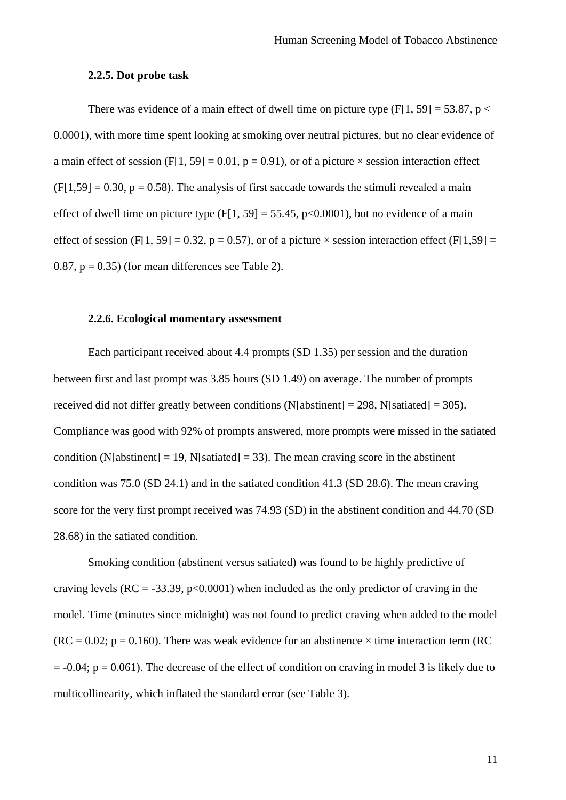#### **2.2.5. Dot probe task**

There was evidence of a main effect of dwell time on picture type  $(F[1, 59] = 53.87, p <$ 0.0001), with more time spent looking at smoking over neutral pictures, but no clear evidence of a main effect of session (F[1, 59] = 0.01,  $p = 0.91$ ), or of a picture  $\times$  session interaction effect  $(F[1,59] = 0.30, p = 0.58)$ . The analysis of first saccade towards the stimuli revealed a main effect of dwell time on picture type  $(F[1, 59] = 55.45, p<0.0001)$ , but no evidence of a main effect of session (F[1, 59] = 0.32, p = 0.57), or of a picture  $\times$  session interaction effect (F[1,59] = 0.87,  $p = 0.35$ ) (for mean differences see Table 2).

## **2.2.6. Ecological momentary assessment**

Each participant received about 4.4 prompts (SD 1.35) per session and the duration between first and last prompt was 3.85 hours (SD 1.49) on average. The number of prompts received did not differ greatly between conditions (N[abstinent] = 298, N[satiated] = 305). Compliance was good with 92% of prompts answered, more prompts were missed in the satiated condition (N[abstinent] = 19, N[satiated] = 33). The mean craving score in the abstinent condition was 75.0 (SD 24.1) and in the satiated condition 41.3 (SD 28.6). The mean craving score for the very first prompt received was 74.93 (SD) in the abstinent condition and 44.70 (SD 28.68) in the satiated condition.

Smoking condition (abstinent versus satiated) was found to be highly predictive of craving levels ( $RC = -33.39$ ,  $p < 0.0001$ ) when included as the only predictor of craving in the model. Time (minutes since midnight) was not found to predict craving when added to the model  $(RC = 0.02; p = 0.160)$ . There was weak evidence for an abstinence  $\times$  time interaction term (RC)  $= -0.04$ ;  $p = 0.061$ ). The decrease of the effect of condition on craving in model 3 is likely due to multicollinearity, which inflated the standard error (see Table 3).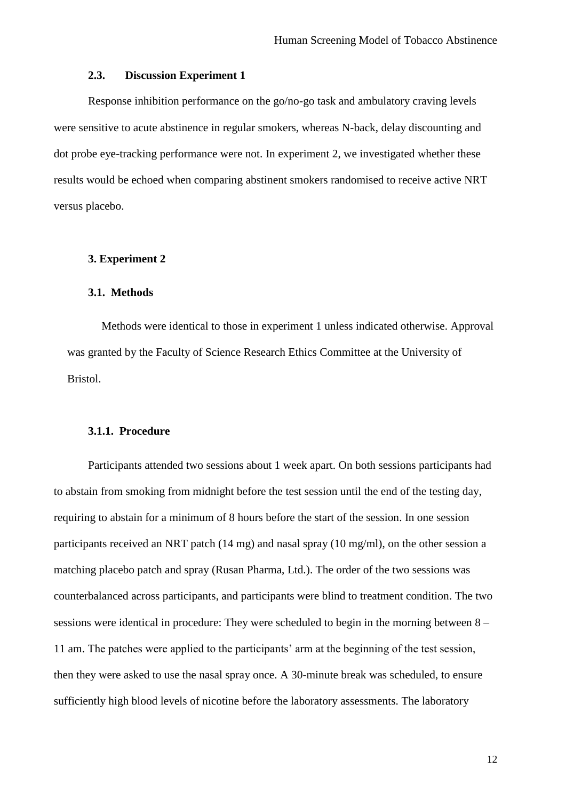### **2.3. Discussion Experiment 1**

Response inhibition performance on the go/no-go task and ambulatory craving levels were sensitive to acute abstinence in regular smokers, whereas N-back, delay discounting and dot probe eye-tracking performance were not. In experiment 2, we investigated whether these results would be echoed when comparing abstinent smokers randomised to receive active NRT versus placebo.

#### **3. Experiment 2**

#### **3.1. Methods**

Methods were identical to those in experiment 1 unless indicated otherwise. Approval was granted by the Faculty of Science Research Ethics Committee at the University of Bristol.

## **3.1.1. Procedure**

Participants attended two sessions about 1 week apart. On both sessions participants had to abstain from smoking from midnight before the test session until the end of the testing day, requiring to abstain for a minimum of 8 hours before the start of the session. In one session participants received an NRT patch (14 mg) and nasal spray (10 mg/ml), on the other session a matching placebo patch and spray (Rusan Pharma, Ltd.). The order of the two sessions was counterbalanced across participants, and participants were blind to treatment condition. The two sessions were identical in procedure: They were scheduled to begin in the morning between 8 – 11 am. The patches were applied to the participants' arm at the beginning of the test session, then they were asked to use the nasal spray once. A 30-minute break was scheduled, to ensure sufficiently high blood levels of nicotine before the laboratory assessments. The laboratory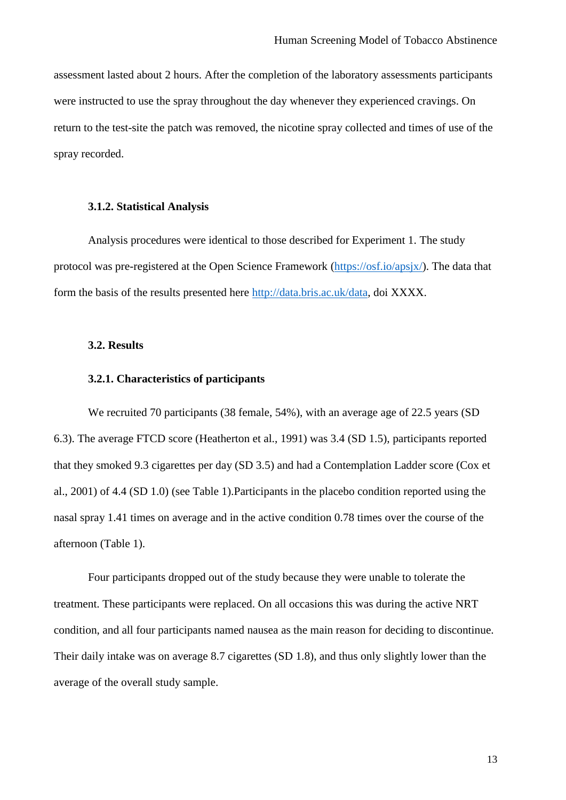assessment lasted about 2 hours. After the completion of the laboratory assessments participants were instructed to use the spray throughout the day whenever they experienced cravings. On return to the test-site the patch was removed, the nicotine spray collected and times of use of the spray recorded.

## **3.1.2. Statistical Analysis**

Analysis procedures were identical to those described for Experiment 1. The study protocol was pre-registered at the Open Science Framework [\(https://osf.io/apsjx/\)](https://osf.io/apsjx/). The data that form the basis of the results presented here http://data.bris.ac.uk/data, doi XXXX.

### **3.2. Results**

#### **3.2.1. Characteristics of participants**

We recruited 70 participants (38 female, 54%), with an average age of 22.5 years (SD 6.3). The average FTCD score (Heatherton et al., 1991) was 3.4 (SD 1.5), participants reported that they smoked 9.3 cigarettes per day (SD 3.5) and had a Contemplation Ladder score (Cox et al., 2001) of 4.4 (SD 1.0) (see Table 1).Participants in the placebo condition reported using the nasal spray 1.41 times on average and in the active condition 0.78 times over the course of the afternoon (Table 1).

Four participants dropped out of the study because they were unable to tolerate the treatment. These participants were replaced. On all occasions this was during the active NRT condition, and all four participants named nausea as the main reason for deciding to discontinue. Their daily intake was on average 8.7 cigarettes (SD 1.8), and thus only slightly lower than the average of the overall study sample.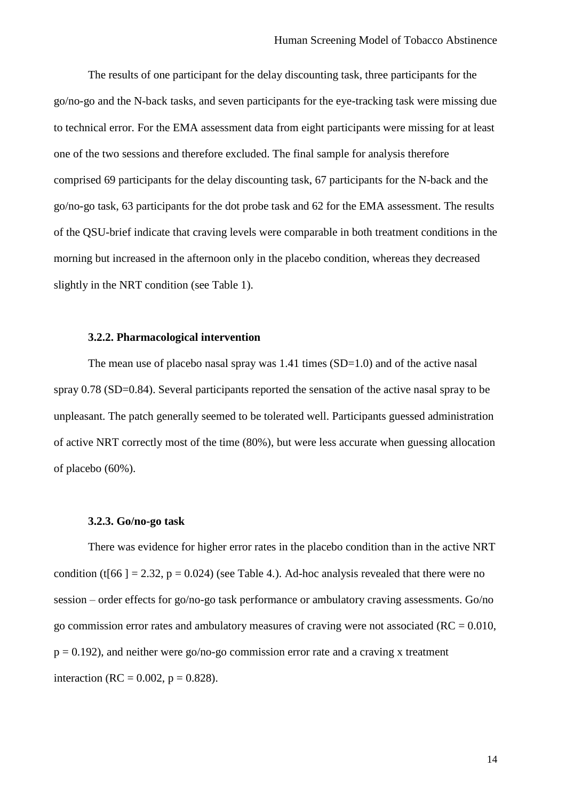The results of one participant for the delay discounting task, three participants for the go/no-go and the N-back tasks, and seven participants for the eye-tracking task were missing due to technical error. For the EMA assessment data from eight participants were missing for at least one of the two sessions and therefore excluded. The final sample for analysis therefore comprised 69 participants for the delay discounting task, 67 participants for the N-back and the go/no-go task, 63 participants for the dot probe task and 62 for the EMA assessment. The results of the QSU-brief indicate that craving levels were comparable in both treatment conditions in the morning but increased in the afternoon only in the placebo condition, whereas they decreased slightly in the NRT condition (see Table 1).

## **3.2.2. Pharmacological intervention**

The mean use of placebo nasal spray was  $1.41$  times  $(SD=1.0)$  and of the active nasal spray 0.78 (SD=0.84). Several participants reported the sensation of the active nasal spray to be unpleasant. The patch generally seemed to be tolerated well. Participants guessed administration of active NRT correctly most of the time (80%), but were less accurate when guessing allocation of placebo (60%).

#### **3.2.3. Go/no-go task**

There was evidence for higher error rates in the placebo condition than in the active NRT condition (t[66 ] = 2.32,  $p = 0.024$ ) (see Table 4.). Ad-hoc analysis revealed that there were no session – order effects for go/no-go task performance or ambulatory craving assessments. Go/no go commission error rates and ambulatory measures of craving were not associated ( $RC = 0.010$ ,  $p = 0.192$ ), and neither were go/no-go commission error rate and a craving x treatment interaction (RC =  $0.002$ , p =  $0.828$ ).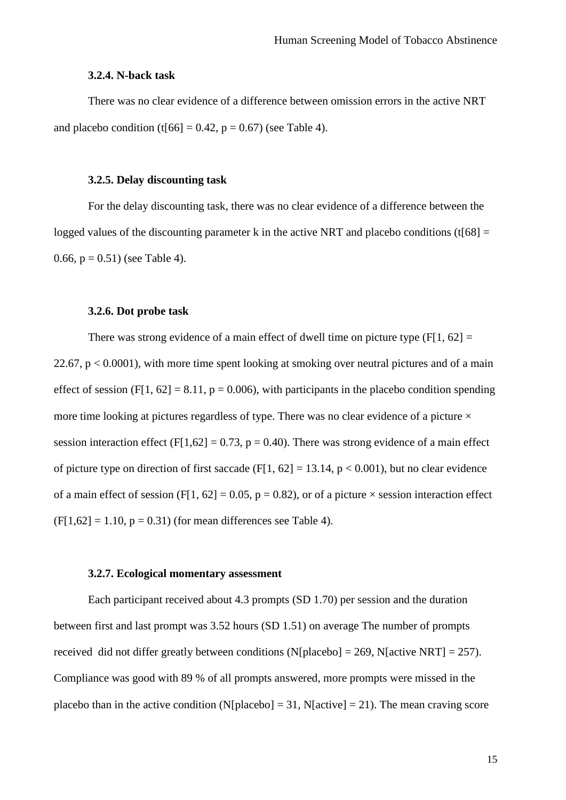#### **3.2.4. N-back task**

There was no clear evidence of a difference between omission errors in the active NRT and placebo condition (t[66] =  $0.42$ , p =  $0.67$ ) (see Table 4).

#### **3.2.5. Delay discounting task**

For the delay discounting task, there was no clear evidence of a difference between the logged values of the discounting parameter k in the active NRT and placebo conditions (t[68]  $=$ 0.66,  $p = 0.51$ ) (see Table 4).

## **3.2.6. Dot probe task**

There was strong evidence of a main effect of dwell time on picture type  $(F[1, 62] =$ 22.67,  $p < 0.0001$ ), with more time spent looking at smoking over neutral pictures and of a main effect of session (F[1, 62] = 8.11,  $p = 0.006$ ), with participants in the placebo condition spending more time looking at pictures regardless of type. There was no clear evidence of a picture  $\times$ session interaction effect (F[1,62] = 0.73, p = 0.40). There was strong evidence of a main effect of picture type on direction of first saccade (F[1, 62] = 13.14,  $p < 0.001$ ), but no clear evidence of a main effect of session (F[1, 62] = 0.05, p = 0.82), or of a picture  $\times$  session interaction effect  $(F[1,62] = 1.10, p = 0.31)$  (for mean differences see Table 4).

#### **3.2.7. Ecological momentary assessment**

Each participant received about 4.3 prompts (SD 1.70) per session and the duration between first and last prompt was 3.52 hours (SD 1.51) on average The number of prompts received did not differ greatly between conditions (N[placebo] = 269, N[active NRT] = 257). Compliance was good with 89 % of all prompts answered, more prompts were missed in the placebo than in the active condition (N[placebo] = 31, N[active] = 21). The mean craving score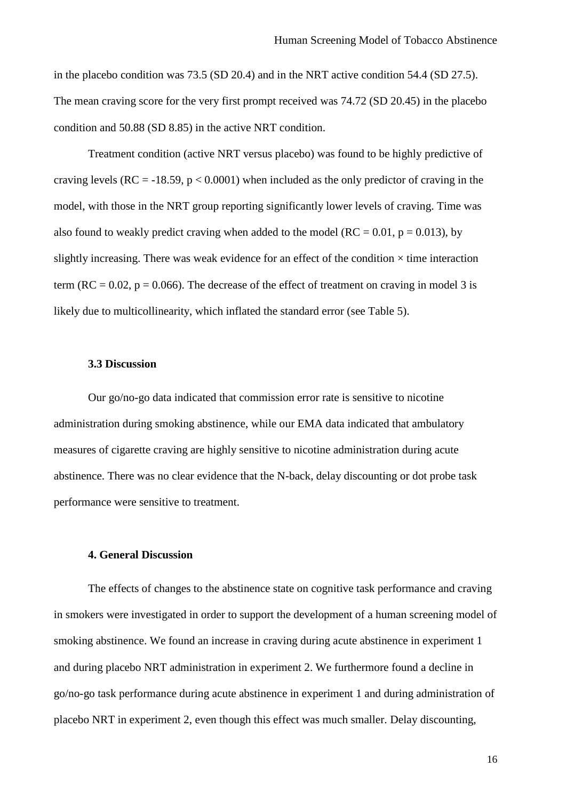in the placebo condition was 73.5 (SD 20.4) and in the NRT active condition 54.4 (SD 27.5). The mean craving score for the very first prompt received was 74.72 (SD 20.45) in the placebo condition and 50.88 (SD 8.85) in the active NRT condition.

Treatment condition (active NRT versus placebo) was found to be highly predictive of craving levels ( $RC = -18.59$ ,  $p < 0.0001$ ) when included as the only predictor of craving in the model, with those in the NRT group reporting significantly lower levels of craving. Time was also found to weakly predict craving when added to the model ( $RC = 0.01$ ,  $p = 0.013$ ), by slightly increasing. There was weak evidence for an effect of the condition  $\times$  time interaction term ( $RC = 0.02$ ,  $p = 0.066$ ). The decrease of the effect of treatment on craving in model 3 is likely due to multicollinearity, which inflated the standard error (see Table 5).

## **3.3 Discussion**

Our go/no-go data indicated that commission error rate is sensitive to nicotine administration during smoking abstinence, while our EMA data indicated that ambulatory measures of cigarette craving are highly sensitive to nicotine administration during acute abstinence. There was no clear evidence that the N-back, delay discounting or dot probe task performance were sensitive to treatment.

#### **4. General Discussion**

The effects of changes to the abstinence state on cognitive task performance and craving in smokers were investigated in order to support the development of a human screening model of smoking abstinence. We found an increase in craving during acute abstinence in experiment 1 and during placebo NRT administration in experiment 2. We furthermore found a decline in go/no-go task performance during acute abstinence in experiment 1 and during administration of placebo NRT in experiment 2, even though this effect was much smaller. Delay discounting,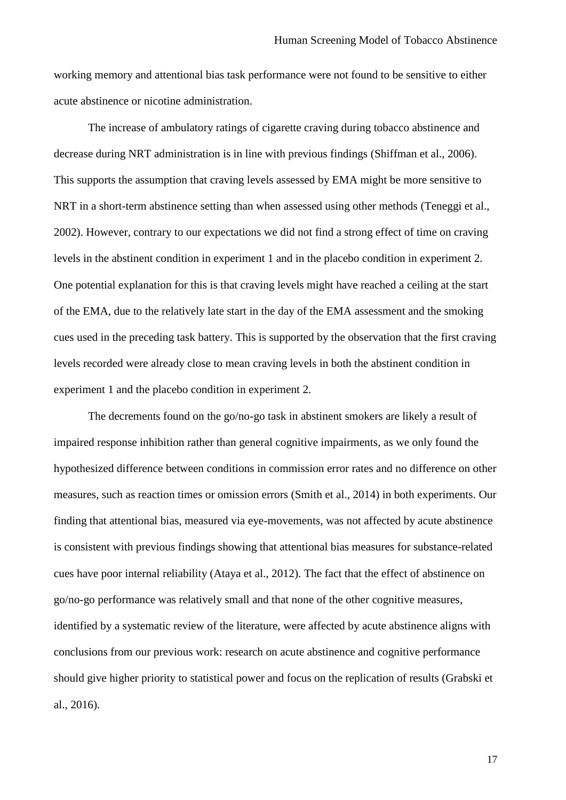working memory and attentional bias task performance were not found to be sensitive to either acute abstinence or nicotine administration.

The increase of ambulatory ratings of cigarette craving during tobacco abstinence and decrease during NRT administration is in line with previous findings (Shiffman et al., 2006). This supports the assumption that craving levels assessed by EMA might be more sensitive to NRT in a short-term abstinence setting than when assessed using other methods (Teneggi et al., 2002). However, contrary to our expectations we did not find a strong effect of time on craving levels in the abstinent condition in experiment 1 and in the placebo condition in experiment 2. One potential explanation for this is that craving levels might have reached a ceiling at the start of the EMA, due to the relatively late start in the day of the EMA assessment and the smoking cues used in the preceding task battery. This is supported by the observation that the first craving levels recorded were already close to mean craving levels in both the abstinent condition in experiment 1 and the placebo condition in experiment 2.

The decrements found on the go/no-go task in abstinent smokers are likely a result of impaired response inhibition rather than general cognitive impairments, as we only found the hypothesized difference between conditions in commission error rates and no difference on other measures, such as reaction times or omission errors (Smith et al., 2014) in both experiments. Our finding that attentional bias, measured via eye-movements, was not affected by acute abstinence is consistent with previous findings showing that attentional bias measures for substance-related cues have poor internal reliability (Ataya et al., 2012). The fact that the effect of abstinence on go/no-go performance was relatively small and that none of the other cognitive measures, identified by a systematic review of the literature, were affected by acute abstinence aligns with conclusions from our previous work: research on acute abstinence and cognitive performance should give higher priority to statistical power and focus on the replication of results (Grabski et al., 2016).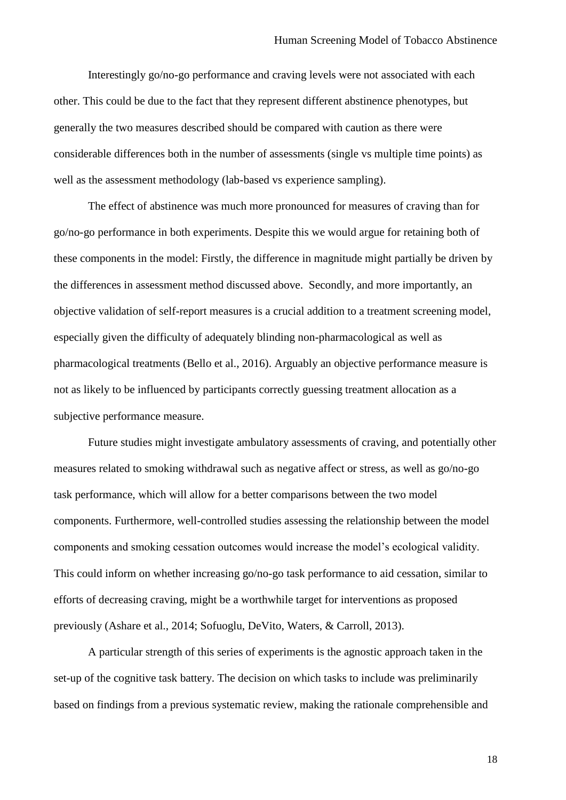Interestingly go/no-go performance and craving levels were not associated with each other. This could be due to the fact that they represent different abstinence phenotypes, but generally the two measures described should be compared with caution as there were considerable differences both in the number of assessments (single vs multiple time points) as well as the assessment methodology (lab-based vs experience sampling).

The effect of abstinence was much more pronounced for measures of craving than for go/no-go performance in both experiments. Despite this we would argue for retaining both of these components in the model: Firstly, the difference in magnitude might partially be driven by the differences in assessment method discussed above. Secondly, and more importantly, an objective validation of self-report measures is a crucial addition to a treatment screening model, especially given the difficulty of adequately blinding non-pharmacological as well as pharmacological treatments (Bello et al., 2016). Arguably an objective performance measure is not as likely to be influenced by participants correctly guessing treatment allocation as a subjective performance measure.

Future studies might investigate ambulatory assessments of craving, and potentially other measures related to smoking withdrawal such as negative affect or stress, as well as go/no-go task performance, which will allow for a better comparisons between the two model components. Furthermore, well-controlled studies assessing the relationship between the model components and smoking cessation outcomes would increase the model's ecological validity. This could inform on whether increasing go/no-go task performance to aid cessation, similar to efforts of decreasing craving, might be a worthwhile target for interventions as proposed previously (Ashare et al., 2014; Sofuoglu, DeVito, Waters, & Carroll, 2013).

A particular strength of this series of experiments is the agnostic approach taken in the set-up of the cognitive task battery. The decision on which tasks to include was preliminarily based on findings from a previous systematic review, making the rationale comprehensible and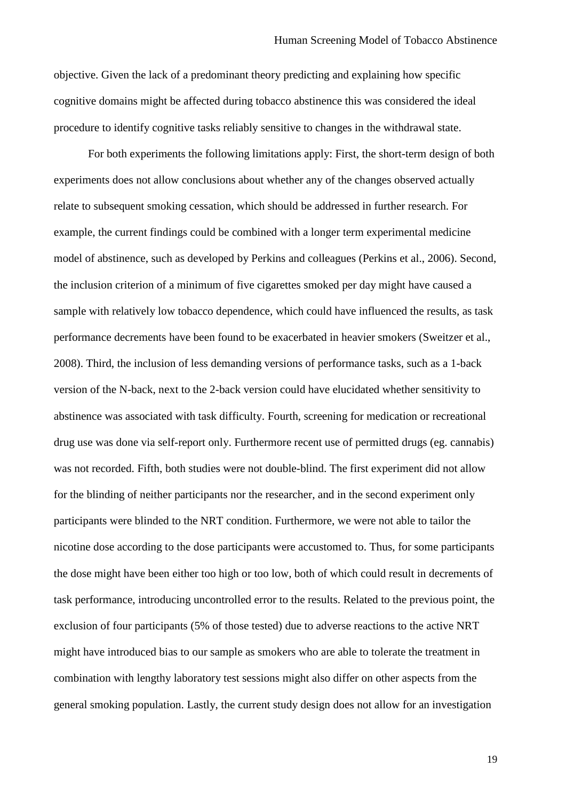objective. Given the lack of a predominant theory predicting and explaining how specific cognitive domains might be affected during tobacco abstinence this was considered the ideal procedure to identify cognitive tasks reliably sensitive to changes in the withdrawal state.

For both experiments the following limitations apply: First, the short-term design of both experiments does not allow conclusions about whether any of the changes observed actually relate to subsequent smoking cessation, which should be addressed in further research. For example, the current findings could be combined with a longer term experimental medicine model of abstinence, such as developed by Perkins and colleagues (Perkins et al., 2006). Second, the inclusion criterion of a minimum of five cigarettes smoked per day might have caused a sample with relatively low tobacco dependence, which could have influenced the results, as task performance decrements have been found to be exacerbated in heavier smokers (Sweitzer et al., 2008). Third, the inclusion of less demanding versions of performance tasks, such as a 1-back version of the N-back, next to the 2-back version could have elucidated whether sensitivity to abstinence was associated with task difficulty. Fourth, screening for medication or recreational drug use was done via self-report only. Furthermore recent use of permitted drugs (eg. cannabis) was not recorded. Fifth, both studies were not double-blind. The first experiment did not allow for the blinding of neither participants nor the researcher, and in the second experiment only participants were blinded to the NRT condition. Furthermore, we were not able to tailor the nicotine dose according to the dose participants were accustomed to. Thus, for some participants the dose might have been either too high or too low, both of which could result in decrements of task performance, introducing uncontrolled error to the results. Related to the previous point, the exclusion of four participants (5% of those tested) due to adverse reactions to the active NRT might have introduced bias to our sample as smokers who are able to tolerate the treatment in combination with lengthy laboratory test sessions might also differ on other aspects from the general smoking population. Lastly, the current study design does not allow for an investigation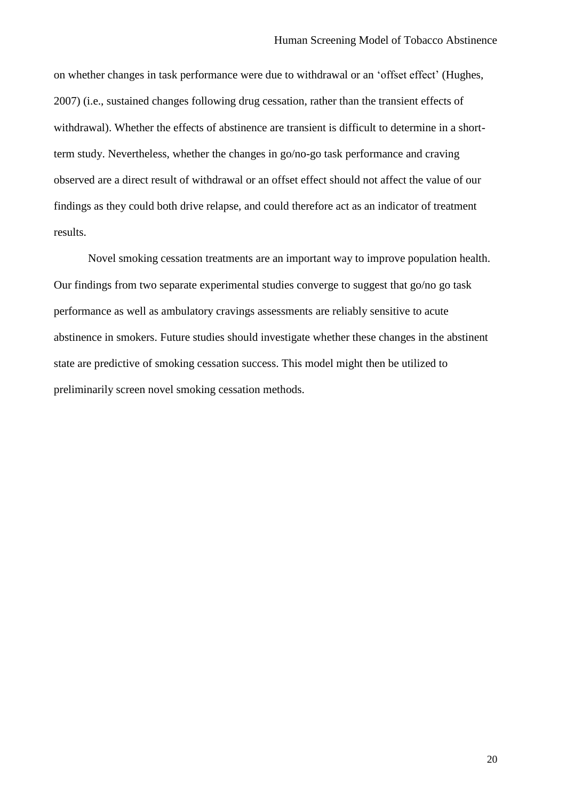on whether changes in task performance were due to withdrawal or an 'offset effect' (Hughes, 2007) (i.e., sustained changes following drug cessation, rather than the transient effects of withdrawal). Whether the effects of abstinence are transient is difficult to determine in a shortterm study. Nevertheless, whether the changes in go/no-go task performance and craving observed are a direct result of withdrawal or an offset effect should not affect the value of our findings as they could both drive relapse, and could therefore act as an indicator of treatment results.

Novel smoking cessation treatments are an important way to improve population health. Our findings from two separate experimental studies converge to suggest that go/no go task performance as well as ambulatory cravings assessments are reliably sensitive to acute abstinence in smokers. Future studies should investigate whether these changes in the abstinent state are predictive of smoking cessation success. This model might then be utilized to preliminarily screen novel smoking cessation methods.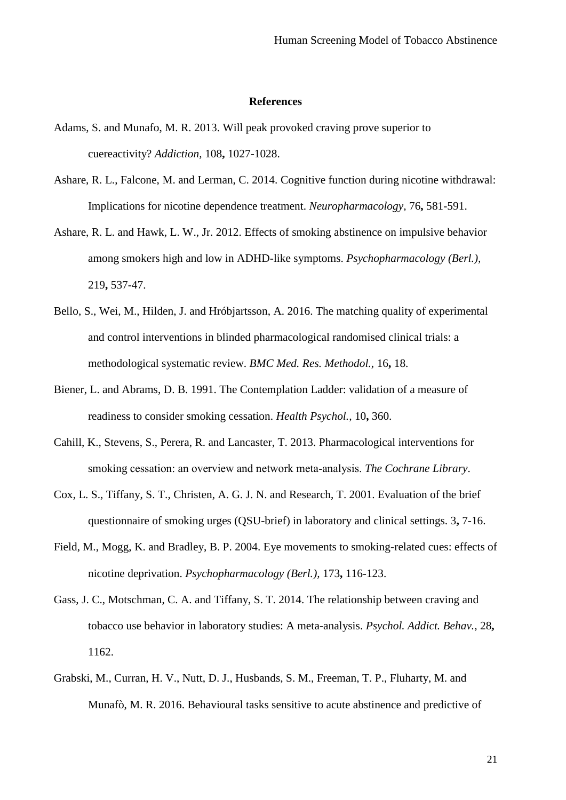#### **References**

- Adams, S. and Munafo, M. R. 2013. Will peak provoked craving prove superior to cuereactivity? *Addiction,* 108**,** 1027-1028.
- Ashare, R. L., Falcone, M. and Lerman, C. 2014. Cognitive function during nicotine withdrawal: Implications for nicotine dependence treatment. *Neuropharmacology,* 76**,** 581-591.
- Ashare, R. L. and Hawk, L. W., Jr. 2012. Effects of smoking abstinence on impulsive behavior among smokers high and low in ADHD-like symptoms. *Psychopharmacology (Berl.),* 219**,** 537-47.
- Bello, S., Wei, M., Hilden, J. and Hróbjartsson, A. 2016. The matching quality of experimental and control interventions in blinded pharmacological randomised clinical trials: a methodological systematic review. *BMC Med. Res. Methodol.,* 16**,** 18.
- Biener, L. and Abrams, D. B. 1991. The Contemplation Ladder: validation of a measure of readiness to consider smoking cessation. *Health Psychol.,* 10**,** 360.
- Cahill, K., Stevens, S., Perera, R. and Lancaster, T. 2013. Pharmacological interventions for smoking cessation: an overview and network meta‐analysis. *The Cochrane Library*.
- Cox, L. S., Tiffany, S. T., Christen, A. G. J. N. and Research, T. 2001. Evaluation of the brief questionnaire of smoking urges (QSU-brief) in laboratory and clinical settings. 3**,** 7-16.
- Field, M., Mogg, K. and Bradley, B. P. 2004. Eye movements to smoking-related cues: effects of nicotine deprivation. *Psychopharmacology (Berl.),* 173**,** 116-123.
- Gass, J. C., Motschman, C. A. and Tiffany, S. T. 2014. The relationship between craving and tobacco use behavior in laboratory studies: A meta-analysis. *Psychol. Addict. Behav.,* 28**,** 1162.
- Grabski, M., Curran, H. V., Nutt, D. J., Husbands, S. M., Freeman, T. P., Fluharty, M. and Munafò, M. R. 2016. Behavioural tasks sensitive to acute abstinence and predictive of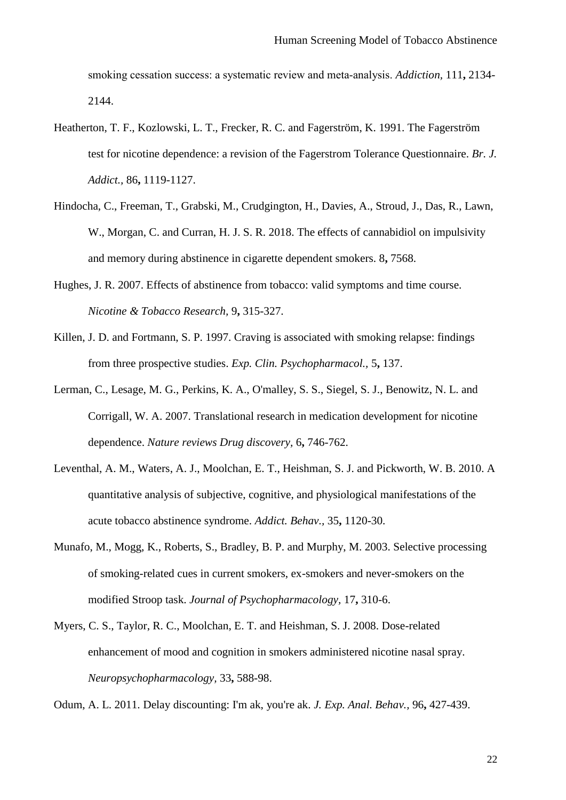smoking cessation success: a systematic review and meta‐analysis. *Addiction,* 111**,** 2134- 2144.

- Heatherton, T. F., Kozlowski, L. T., Frecker, R. C. and Fagerström, K. 1991. The Fagerström test for nicotine dependence: a revision of the Fagerstrom Tolerance Questionnaire. *Br. J. Addict.,* 86**,** 1119-1127.
- Hindocha, C., Freeman, T., Grabski, M., Crudgington, H., Davies, A., Stroud, J., Das, R., Lawn, W., Morgan, C. and Curran, H. J. S. R. 2018. The effects of cannabidiol on impulsivity and memory during abstinence in cigarette dependent smokers. 8**,** 7568.
- Hughes, J. R. 2007. Effects of abstinence from tobacco: valid symptoms and time course. *Nicotine & Tobacco Research,* 9**,** 315-327.
- Killen, J. D. and Fortmann, S. P. 1997. Craving is associated with smoking relapse: findings from three prospective studies. *Exp. Clin. Psychopharmacol.,* 5**,** 137.
- Lerman, C., Lesage, M. G., Perkins, K. A., O'malley, S. S., Siegel, S. J., Benowitz, N. L. and Corrigall, W. A. 2007. Translational research in medication development for nicotine dependence. *Nature reviews Drug discovery,* 6**,** 746-762.
- Leventhal, A. M., Waters, A. J., Moolchan, E. T., Heishman, S. J. and Pickworth, W. B. 2010. A quantitative analysis of subjective, cognitive, and physiological manifestations of the acute tobacco abstinence syndrome. *Addict. Behav.,* 35**,** 1120-30.
- Munafo, M., Mogg, K., Roberts, S., Bradley, B. P. and Murphy, M. 2003. Selective processing of smoking-related cues in current smokers, ex-smokers and never-smokers on the modified Stroop task. *Journal of Psychopharmacology,* 17**,** 310-6.
- Myers, C. S., Taylor, R. C., Moolchan, E. T. and Heishman, S. J. 2008. Dose-related enhancement of mood and cognition in smokers administered nicotine nasal spray. *Neuropsychopharmacology,* 33**,** 588-98.

Odum, A. L. 2011. Delay discounting: I'm ak, you're ak. *J. Exp. Anal. Behav.,* 96**,** 427-439.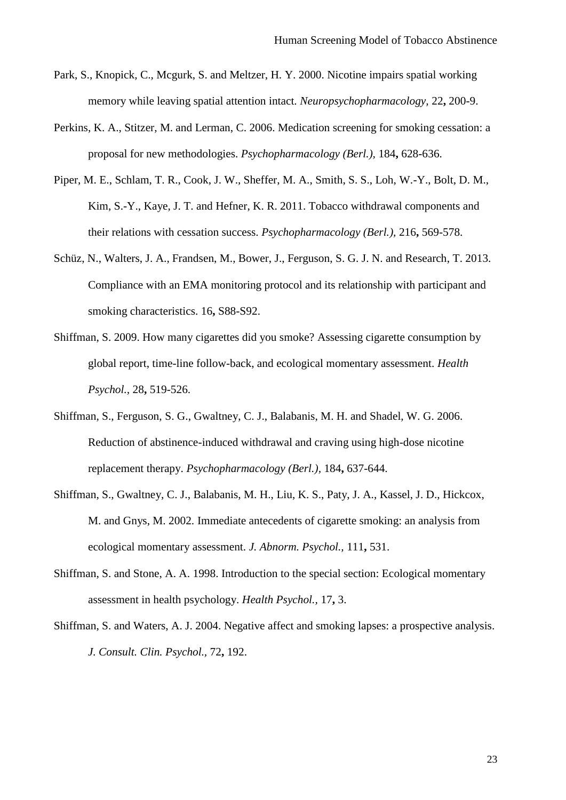- Park, S., Knopick, C., Mcgurk, S. and Meltzer, H. Y. 2000. Nicotine impairs spatial working memory while leaving spatial attention intact. *Neuropsychopharmacology,* 22**,** 200-9.
- Perkins, K. A., Stitzer, M. and Lerman, C. 2006. Medication screening for smoking cessation: a proposal for new methodologies. *Psychopharmacology (Berl.),* 184**,** 628-636.
- Piper, M. E., Schlam, T. R., Cook, J. W., Sheffer, M. A., Smith, S. S., Loh, W.-Y., Bolt, D. M., Kim, S.-Y., Kaye, J. T. and Hefner, K. R. 2011. Tobacco withdrawal components and their relations with cessation success. *Psychopharmacology (Berl.),* 216**,** 569-578.
- Schüz, N., Walters, J. A., Frandsen, M., Bower, J., Ferguson, S. G. J. N. and Research, T. 2013. Compliance with an EMA monitoring protocol and its relationship with participant and smoking characteristics. 16**,** S88-S92.
- Shiffman, S. 2009. How many cigarettes did you smoke? Assessing cigarette consumption by global report, time-line follow-back, and ecological momentary assessment. *Health Psychol.,* 28**,** 519-526.
- Shiffman, S., Ferguson, S. G., Gwaltney, C. J., Balabanis, M. H. and Shadel, W. G. 2006. Reduction of abstinence-induced withdrawal and craving using high-dose nicotine replacement therapy. *Psychopharmacology (Berl.),* 184**,** 637-644.
- Shiffman, S., Gwaltney, C. J., Balabanis, M. H., Liu, K. S., Paty, J. A., Kassel, J. D., Hickcox, M. and Gnys, M. 2002. Immediate antecedents of cigarette smoking: an analysis from ecological momentary assessment. *J. Abnorm. Psychol.,* 111**,** 531.
- Shiffman, S. and Stone, A. A. 1998. Introduction to the special section: Ecological momentary assessment in health psychology. *Health Psychol.,* 17**,** 3.
- Shiffman, S. and Waters, A. J. 2004. Negative affect and smoking lapses: a prospective analysis. *J. Consult. Clin. Psychol.,* 72**,** 192.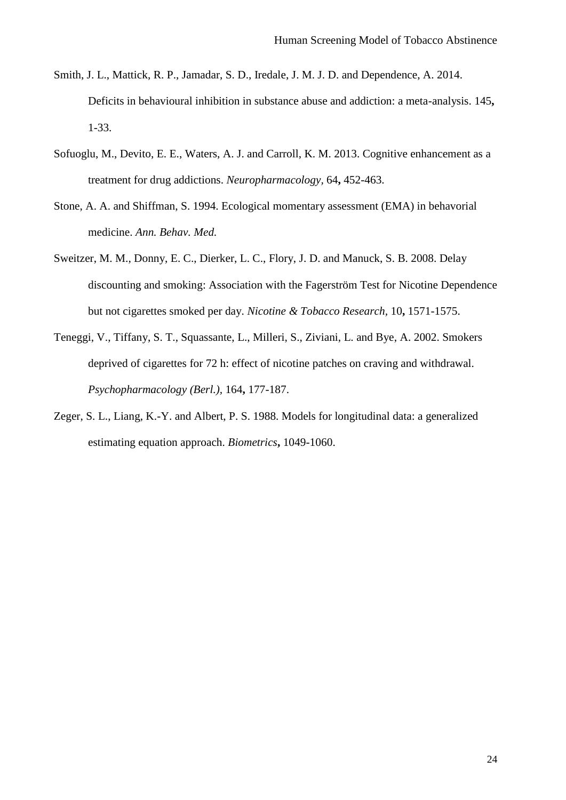- Smith, J. L., Mattick, R. P., Jamadar, S. D., Iredale, J. M. J. D. and Dependence, A. 2014. Deficits in behavioural inhibition in substance abuse and addiction: a meta-analysis. 145**,** 1-33.
- Sofuoglu, M., Devito, E. E., Waters, A. J. and Carroll, K. M. 2013. Cognitive enhancement as a treatment for drug addictions. *Neuropharmacology,* 64**,** 452-463.
- Stone, A. A. and Shiffman, S. 1994. Ecological momentary assessment (EMA) in behavorial medicine. *Ann. Behav. Med.*
- Sweitzer, M. M., Donny, E. C., Dierker, L. C., Flory, J. D. and Manuck, S. B. 2008. Delay discounting and smoking: Association with the Fagerström Test for Nicotine Dependence but not cigarettes smoked per day. *Nicotine & Tobacco Research,* 10**,** 1571-1575.
- Teneggi, V., Tiffany, S. T., Squassante, L., Milleri, S., Ziviani, L. and Bye, A. 2002. Smokers deprived of cigarettes for 72 h: effect of nicotine patches on craving and withdrawal. *Psychopharmacology (Berl.),* 164**,** 177-187.
- Zeger, S. L., Liang, K.-Y. and Albert, P. S. 1988. Models for longitudinal data: a generalized estimating equation approach. *Biometrics***,** 1049-1060.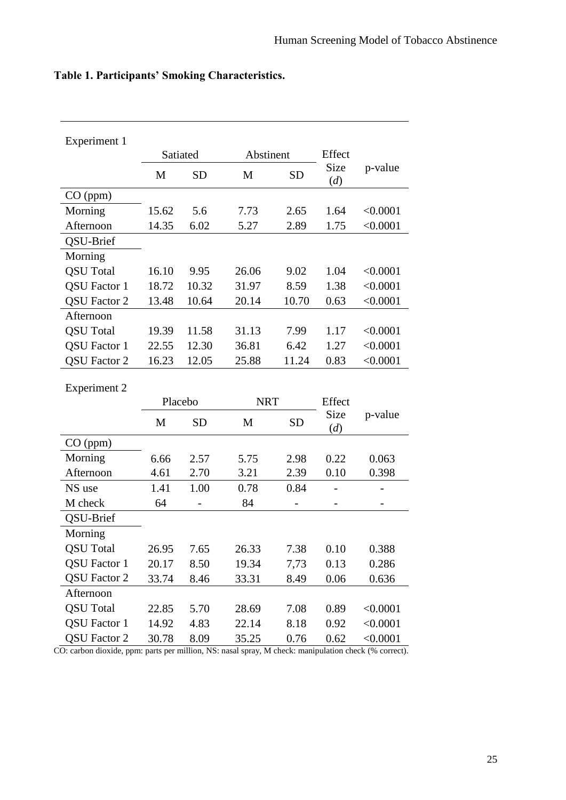| Experiment 1        |         |           |            |           |             |          |
|---------------------|---------|-----------|------------|-----------|-------------|----------|
|                     |         | Satiated  | Abstinent  |           | Effect      |          |
|                     | M       | <b>SD</b> | M          | <b>SD</b> | Size<br>(d) | p-value  |
| CO (ppm)            |         |           |            |           |             |          |
| Morning             | 15.62   | 5.6       | 7.73       | 2.65      | 1.64        | < 0.0001 |
| Afternoon           | 14.35   | 6.02      | 5.27       | 2.89      | 1.75        | < 0.0001 |
| QSU-Brief           |         |           |            |           |             |          |
| Morning             |         |           |            |           |             |          |
| <b>QSU</b> Total    | 16.10   | 9.95      | 26.06      | 9.02      | 1.04        | < 0.0001 |
| <b>QSU</b> Factor 1 | 18.72   | 10.32     | 31.97      | 8.59      | 1.38        | < 0.0001 |
| <b>QSU Factor 2</b> | 13.48   | 10.64     | 20.14      | 10.70     | 0.63        | < 0.0001 |
| Afternoon           |         |           |            |           |             |          |
| <b>QSU</b> Total    | 19.39   | 11.58     | 31.13      | 7.99      | 1.17        | < 0.0001 |
| <b>QSU</b> Factor 1 | 22.55   | 12.30     | 36.81      | 6.42      | 1.27        | < 0.0001 |
| <b>QSU Factor 2</b> | 16.23   | 12.05     | 25.88      | 11.24     | 0.83        | < 0.0001 |
| <b>Experiment 2</b> |         |           | <b>NRT</b> |           |             |          |
|                     | Placebo |           |            |           | Effect      |          |
|                     | M       | <b>SD</b> | M          | <b>SD</b> | Size<br>(d) | p-value  |
| CO (ppm)            |         |           |            |           |             |          |
| Morning             | 6.66    | 2.57      | 5.75       | 2.98      | 0.22        | 0.063    |
| Afternoon           | 4.61    | 2.70      | 3.21       | 2.39      | 0.10        | 0.398    |
| NS use              | 1.41    | 1.00      | 0.78       | 0.84      |             |          |
| M check             | 64      |           | 84         |           |             |          |
| QSU-Brief           |         |           |            |           |             |          |
| Morning             |         |           |            |           |             |          |
| <b>QSU</b> Total    | 26.95   | 7.65      | 26.33      | 7.38      | 0.10        | 0.388    |
| <b>QSU</b> Factor 1 | 20.17   | 8.50      | 19.34      | 7,73      | 0.13        | 0.286    |
| QSU Factor 2        | 33.74   | 8.46      | 33.31      | 8.49      | 0.06        | 0.636    |
| Afternoon           |         |           |            |           |             |          |
| <b>QSU</b> Total    | 22.85   | 5.70      | 28.69      | 7.08      | 0.89        | < 0.0001 |
| <b>OSU</b> Factor 1 | 14.92   | 4.83      | 22.14      | 8.18      | 0.92        | < 0.0001 |

# **Table 1. Participants' Smoking Characteristics.**

CO: carbon dioxide, ppm: parts per million, NS: nasal spray, M check: manipulation check (% correct).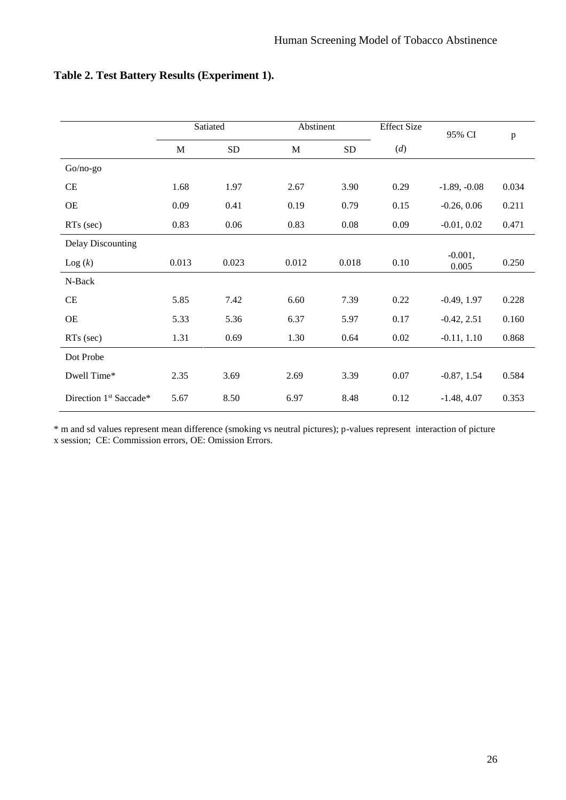|                                    | Satiated |            | Abstinent |            | <b>Effect Size</b> | 95% CI             | $\, {\bf p}$ |  |
|------------------------------------|----------|------------|-----------|------------|--------------------|--------------------|--------------|--|
|                                    | M        | ${\rm SD}$ | M         | ${\rm SD}$ | (d)                |                    |              |  |
| $Go/no-go$                         |          |            |           |            |                    |                    |              |  |
| CE                                 | 1.68     | 1.97       | 2.67      | 3.90       | 0.29               | $-1.89, -0.08$     | 0.034        |  |
| <b>OE</b>                          | 0.09     | 0.41       | 0.19      | 0.79       | 0.15               | $-0.26, 0.06$      | 0.211        |  |
| RTs (sec)                          | 0.83     | 0.06       | 0.83      | 0.08       | 0.09               | $-0.01, 0.02$      | 0.471        |  |
| <b>Delay Discounting</b>           |          |            |           |            |                    |                    |              |  |
| $\text{Log}(k)$                    | 0.013    | 0.023      | 0.012     | 0.018      | 0.10               | $-0.001,$<br>0.005 | 0.250        |  |
| N-Back                             |          |            |           |            |                    |                    |              |  |
| CE                                 | 5.85     | 7.42       | 6.60      | 7.39       | 0.22               | $-0.49, 1.97$      | 0.228        |  |
| OE                                 | 5.33     | 5.36       | 6.37      | 5.97       | 0.17               | $-0.42, 2.51$      | 0.160        |  |
| RTs (sec)                          | 1.31     | 0.69       | 1.30      | 0.64       | 0.02               | $-0.11, 1.10$      | 0.868        |  |
| Dot Probe                          |          |            |           |            |                    |                    |              |  |
| Dwell Time*                        | 2.35     | 3.69       | 2.69      | 3.39       | 0.07               | $-0.87, 1.54$      | 0.584        |  |
| Direction 1 <sup>st</sup> Saccade* | 5.67     | 8.50       | 6.97      | 8.48       | 0.12               | $-1.48, 4.07$      | 0.353        |  |

## **Table 2. Test Battery Results (Experiment 1).**

\* m and sd values represent mean difference (smoking vs neutral pictures); p-values represent interaction of picture x session; CE: Commission errors, OE: Omission Errors.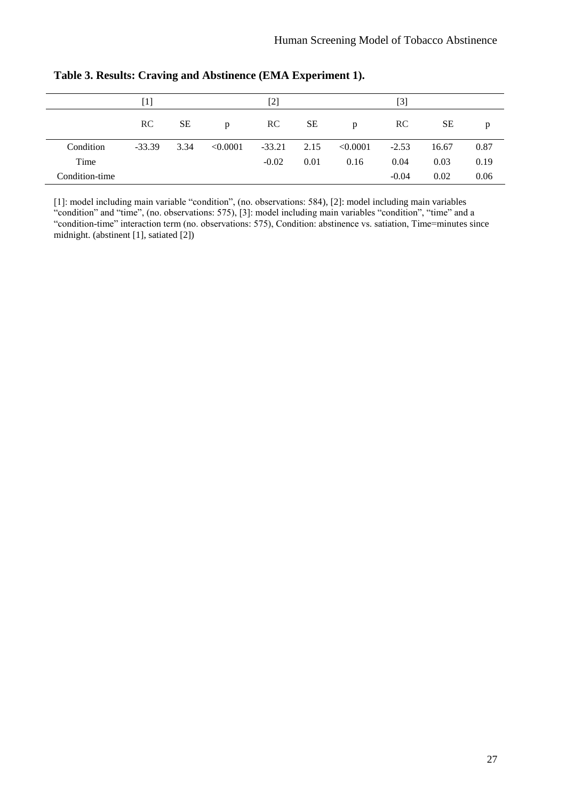|                | $[1] % \includegraphics[width=0.9\columnwidth]{figures/fig_10.pdf} \caption{The figure shows the number of times of the estimators in the left and right.} \label{fig:fig:time}$ |           | $[2]$        |          |           | [3]      |           |       |      |
|----------------|----------------------------------------------------------------------------------------------------------------------------------------------------------------------------------|-----------|--------------|----------|-----------|----------|-----------|-------|------|
|                | RC                                                                                                                                                                               | <b>SE</b> | $\mathbf{D}$ | RC       | <b>SE</b> | p        | <b>RC</b> | SE    | p    |
| Condition      | $-33.39$                                                                                                                                                                         | 3.34      | < 0.0001     | $-33.21$ | 2.15      | < 0.0001 | $-2.53$   | 16.67 | 0.87 |
| Time           |                                                                                                                                                                                  |           |              | $-0.02$  | 0.01      | 0.16     | 0.04      | 0.03  | 0.19 |
| Condition-time |                                                                                                                                                                                  |           |              |          |           |          | $-0.04$   | 0.02  | 0.06 |

**Table 3. Results: Craving and Abstinence (EMA Experiment 1).**

[1]: model including main variable "condition", (no. observations: 584), [2]: model including main variables "condition" and "time", (no. observations: 575), [3]: model including main variables "condition", "time" and a "condition-time" interaction term (no. observations: 575), Condition: abstinence vs. satiation, Time=minutes since midnight. (abstinent [1], satiated [2])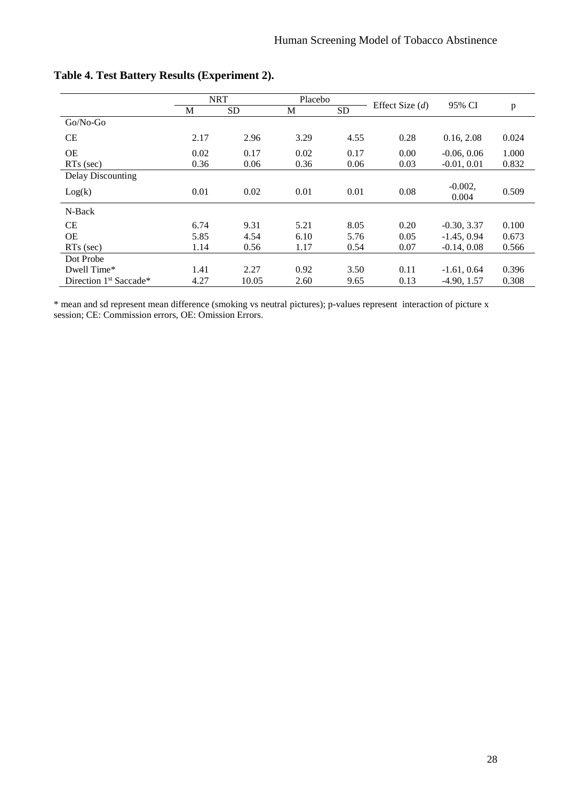|                                    |      | <b>NRT</b> | Placebo |           |                   | 95% CI              |       |  |
|------------------------------------|------|------------|---------|-----------|-------------------|---------------------|-------|--|
|                                    | M    | <b>SD</b>  | M       | <b>SD</b> | Effect Size $(d)$ |                     | p     |  |
| $Go/No-Go$                         |      |            |         |           |                   |                     |       |  |
| <b>CE</b>                          | 2.17 | 2.96       | 3.29    | 4.55      | 0.28              | 0.16, 2.08          | 0.024 |  |
| <b>OE</b>                          | 0.02 | 0.17       | 0.02    | 0.17      | 0.00              | $-0.06, 0.06$       | 1.000 |  |
| $RTs$ (sec)                        | 0.36 | 0.06       | 0.36    | 0.06      | 0.03              | $-0.01, 0.01$       | 0.832 |  |
| <b>Delay Discounting</b>           |      |            |         |           |                   |                     |       |  |
| Log(k)                             | 0.01 | 0.02       | 0.01    | 0.01      | 0.08              | $-0.002$ ,<br>0.004 | 0.509 |  |
| N-Back                             |      |            |         |           |                   |                     |       |  |
| <b>CE</b>                          | 6.74 | 9.31       | 5.21    | 8.05      | 0.20              | $-0.30, 3.37$       | 0.100 |  |
| <b>OE</b>                          | 5.85 | 4.54       | 6.10    | 5.76      | 0.05              | $-1.45, 0.94$       | 0.673 |  |
| $RTs$ (sec)                        | 1.14 | 0.56       | 1.17    | 0.54      | 0.07              | $-0.14, 0.08$       | 0.566 |  |
| Dot Probe                          |      |            |         |           |                   |                     |       |  |
| Dwell Time*                        | 1.41 | 2.27       | 0.92    | 3.50      | 0.11              | $-1.61, 0.64$       | 0.396 |  |
| Direction 1 <sup>st</sup> Saccade* | 4.27 | 10.05      | 2.60    | 9.65      | 0.13              | $-4.90, 1.57$       | 0.308 |  |

## **Table 4. Test Battery Results (Experiment 2).**

\* mean and sd represent mean difference (smoking vs neutral pictures); p-values represent interaction of picture x session; CE: Commission errors, OE: Omission Errors.